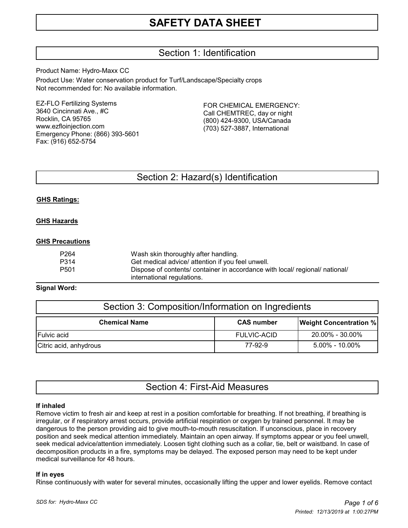## Section 1: Identification

Product Name: Hydro-Maxx CC

Product Use: Water conservation product for Turf/Landscape/Specialty crops Not recommended for: No available information.

EZ-FLO Fertilizing Systems 3640 Cincinnati Ave., #C Rocklin, CA 95765 www.ezfloinjection.com Emergency Phone: (866) 393-5601 Fax: (916) 652-5754

FOR CHEMICAL EMERGENCY: Call CHEMTREC, day or night (800) 424-9300, USA/Canada (703) 527-3887, International

### Section 2: Hazard(s) Identification

#### **GHS Ratings:**

#### **GHS Hazards**

#### **GHS Precautions**

| P264 | Wash skin thoroughly after handling.                                         |
|------|------------------------------------------------------------------------------|
| P314 | Get medical advice/ attention if you feel unwell.                            |
| P501 | Dispose of contents/ container in accordance with local/ regional/ national/ |
|      | international regulations.                                                   |

#### **Signal Word:**

| Section 3: Composition/Information on Ingredients |                    |                               |  |  |  |
|---------------------------------------------------|--------------------|-------------------------------|--|--|--|
| <b>Chemical Name</b>                              | <b>CAS number</b>  | <b>Weight Concentration %</b> |  |  |  |
| Fulvic acid                                       | <b>FULVIC-ACID</b> | 20.00% - 30.00%               |  |  |  |
| Citric acid, anhydrous                            | 77-92-9            | $5.00\%$ - 10.00%             |  |  |  |

### Section 4: First-Aid Measures

#### **If inhaled**

Remove victim to fresh air and keep at rest in a position comfortable for breathing. If not breathing, if breathing is irregular, or if respiratory arrest occurs, provide artificial respiration or oxygen by trained personnel. It may be dangerous to the person providing aid to give mouth-to-mouth resuscitation. If unconscious, place in recovery position and seek medical attention immediately. Maintain an open airway. If symptoms appear or you feel unwell, seek medical advice/attention immediately. Loosen tight clothing such as a collar, tie, belt or waistband. In case of decomposition products in a fire, symptoms may be delayed. The exposed person may need to be kept under medical surveillance for 48 hours.

#### **If in eyes**

Rinse continuously with water for several minutes, occasionally lifting the upper and lower eyelids. Remove contact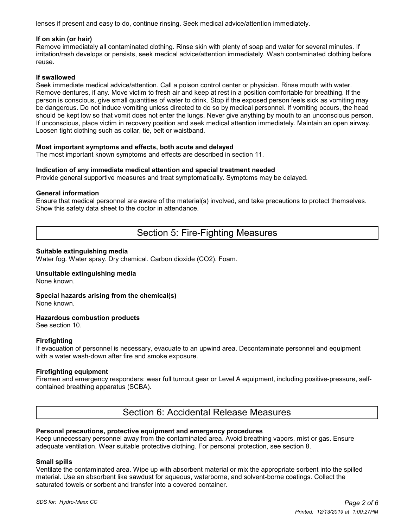lenses if present and easy to do, continue rinsing. Seek medical advice/attention immediately.

#### **If on skin (or hair)**

Remove immediately all contaminated clothing. Rinse skin with plenty of soap and water for several minutes. If irritation/rash develops or persists, seek medical advice/attention immediately. Wash contaminated clothing before reuse.

#### **If swallowed**

Seek immediate medical advice/attention. Call a poison control center or physician. Rinse mouth with water. Remove dentures, if any. Move victim to fresh air and keep at rest in a position comfortable for breathing. If the person is conscious, give small quantities of water to drink. Stop if the exposed person feels sick as vomiting may be dangerous. Do not induce vomiting unless directed to do so by medical personnel. If vomiting occurs, the head should be kept low so that vomit does not enter the lungs. Never give anything by mouth to an unconscious person. If unconscious, place victim in recovery position and seek medical attention immediately. Maintain an open airway. Loosen tight clothing such as collar, tie, belt or waistband.

#### **Most important symptoms and effects, both acute and delayed**

The most important known symptoms and effects are described in section 11.

#### **Indication of any immediate medical attention and special treatment needed**

Provide general supportive measures and treat symptomatically. Symptoms may be delayed.

#### **General information**

Ensure that medical personnel are aware of the material(s) involved, and take precautions to protect themselves. Show this safety data sheet to the doctor in attendance.

### Section 5: Fire-Fighting Measures

#### **Suitable extinguishing media**

Water fog. Water spray. Dry chemical. Carbon dioxide (CO2). Foam.

#### **Unsuitable extinguishing media**

None known.

### **Special hazards arising from the chemical(s)**

None known.

#### **Hazardous combustion products**

See section 10.

#### **Firefighting**

If evacuation of personnel is necessary, evacuate to an upwind area. Decontaminate personnel and equipment with a water wash-down after fire and smoke exposure.

#### **Firefighting equipment**

Firemen and emergency responders: wear full turnout gear or Level A equipment, including positive-pressure, selfcontained breathing apparatus (SCBA).

### Section 6: Accidental Release Measures

#### **Personal precautions, protective equipment and emergency procedures**

Keep unnecessary personnel away from the contaminated area. Avoid breathing vapors, mist or gas. Ensure adequate ventilation. Wear suitable protective clothing. For personal protection, see section 8.

#### **Small spills**

Ventilate the contaminated area. Wipe up with absorbent material or mix the appropriate sorbent into the spilled material. Use an absorbent like sawdust for aqueous, waterborne, and solvent-borne coatings. Collect the saturated towels or sorbent and transfer into a covered container.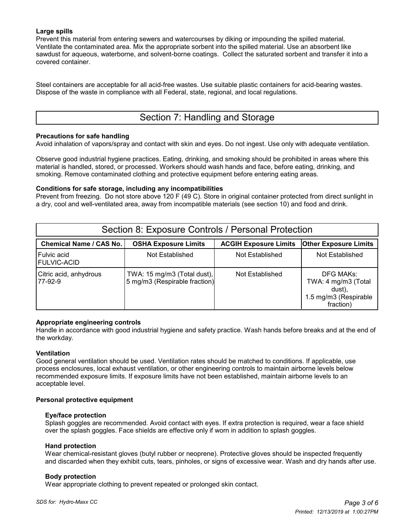#### **Large spills**

Prevent this material from entering sewers and watercourses by diking or impounding the spilled material. Ventilate the contaminated area. Mix the appropriate sorbent into the spilled material. Use an absorbent like sawdust for aqueous, waterborne, and solvent-borne coatings. Collect the saturated sorbent and transfer it into a covered container.

Steel containers are acceptable for all acid-free wastes. Use suitable plastic containers for acid-bearing wastes. Dispose of the waste in compliance with all Federal, state, regional, and local regulations.

### Section 7: Handling and Storage

#### **Precautions for safe handling**

Avoid inhalation of vapors/spray and contact with skin and eyes. Do not ingest. Use only with adequate ventilation.

Observe good industrial hygiene practices. Eating, drinking, and smoking should be prohibited in areas where this material is handled, stored, or processed. Workers should wash hands and face, before eating, drinking, and smoking. Remove contaminated clothing and protective equipment before entering eating areas.

#### **Conditions for safe storage, including any incompatibilities**

Prevent from freezing. Do not store above 120 F (49 C). Store in original container protected from direct sunlight in a dry, cool and well-ventilated area, away from incompatible materials (see section 10) and food and drink.

| Section 8: Exposure Controls / Personal Protection |                                                              |                              |                                                                                  |  |  |  |
|----------------------------------------------------|--------------------------------------------------------------|------------------------------|----------------------------------------------------------------------------------|--|--|--|
| <b>Chemical Name / CAS No.</b>                     | <b>OSHA Exposure Limits</b>                                  | <b>ACGIH Exposure Limits</b> | <b>Other Exposure Limits</b>                                                     |  |  |  |
| Fulvic acid<br><b>FULVIC-ACID</b>                  | Not Established                                              | Not Established              | Not Established                                                                  |  |  |  |
| Citric acid, anhydrous<br>77-92-9                  | TWA: 15 mg/m3 (Total dust),<br>5 mg/m3 (Respirable fraction) | Not Established              | DFG MAKs:<br>TWA: 4 mg/m3 (Total<br>dust),<br>1.5 mg/m3 (Respirable<br>fraction) |  |  |  |

#### **Appropriate engineering controls**

Handle in accordance with good industrial hygiene and safety practice. Wash hands before breaks and at the end of the workday.

#### **Ventilation**

Good general ventilation should be used. Ventilation rates should be matched to conditions. If applicable, use process enclosures, local exhaust ventilation, or other engineering controls to maintain airborne levels below recommended exposure limits. If exposure limits have not been established, maintain airborne levels to an acceptable level.

#### **Personal protective equipment**

#### **Eye/face protection**

 Splash goggles are recommended. Avoid contact with eyes. If extra protection is required, wear a face shield over the splash goggles. Face shields are effective only if worn in addition to splash goggles.

#### **Hand protection**

 Wear chemical-resistant gloves (butyl rubber or neoprene). Protective gloves should be inspected frequently and discarded when they exhibit cuts, tears, pinholes, or signs of excessive wear. Wash and dry hands after use.

#### **Body protection**

Wear appropriate clothing to prevent repeated or prolonged skin contact.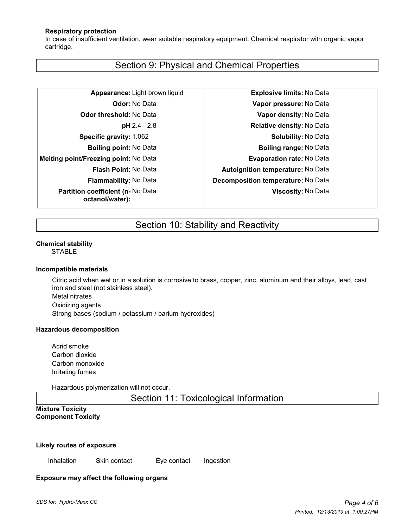#### **Respiratory protection**

 In case of insufficient ventilation, wear suitable respiratory equipment. Chemical respirator with organic vapor cartridge.

### Section 9: Physical and Chemical Properties

**Melting point/Freezing point:** No Data **Evaporation rate:** No Data **Partition coefficient (n-** No Data **octanol/water):**

**Appearance:** Light brown liquid **Explosive limits:** No Data **Odor:** No Data **Vapor pressure:** No Data **Odor threshold:** No Data **Vapor density:** No Data **pH** 2.4 - 2.8 **Relative density:** No Data **Specific gravity:** 1.062 **Solubility:** No Data **Boiling point:** No Data **Boiling range:** No Data **Flash Point:** No Data **Autoignition temperature:** No Data **Flammability:** No Data **Decomposition temperature:** No Data **Viscosity:** No Data

# Section 10: Stability and Reactivity

### **Chemical stability**

**STABLE** 

### **Incompatible materials**

Citric acid when wet or in a solution is corrosive to brass, copper, zinc, aluminum and their alloys, lead, cast iron and steel (not stainless steel). Metal nitrates Oxidizing agents Strong bases (sodium / potassium / barium hydroxides)

### **Hazardous decomposition**

Acrid smoke Carbon dioxide Carbon monoxide Irritating fumes

Hazardous polymerization will not occur.

Section 11: Toxicological Information

#### **Mixture Toxicity Component Toxicity**

#### **Likely routes of exposure**

Inhalation Skin contact Eye contact Ingestion

### **Exposure may affect the following organs**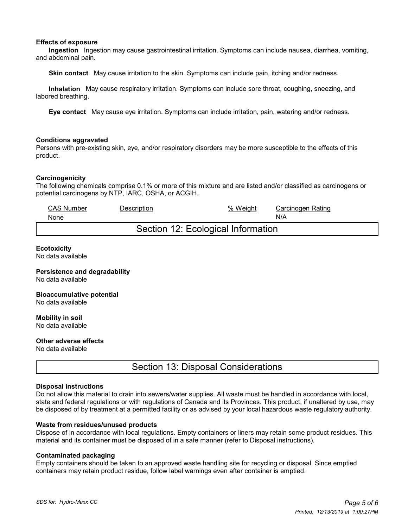#### **Effects of exposure**

 **Ingestion** Ingestion may cause gastrointestinal irritation. Symptoms can include nausea, diarrhea, vomiting, and abdominal pain.

 **Skin contact** May cause irritation to the skin. Symptoms can include pain, itching and/or redness.

 **Inhalation** May cause respiratory irritation. Symptoms can include sore throat, coughing, sneezing, and labored breathing.

 **Eye contact** May cause eye irritation. Symptoms can include irritation, pain, watering and/or redness.

#### **Conditions aggravated**

Persons with pre-existing skin, eye, and/or respiratory disorders may be more susceptible to the effects of this product.

#### **Carcinogenicity**

The following chemicals comprise 0.1% or more of this mixture and are listed and/or classified as carcinogens or potential carcinogens by NTP, IARC, OSHA, or ACGIH.

| <b>CAS Number</b><br>None          | Description | % Weight | Carcinogen Rating<br>N/A |  |  |  |
|------------------------------------|-------------|----------|--------------------------|--|--|--|
| Section 12: Ecological Information |             |          |                          |  |  |  |

#### **Ecotoxicity**

No data available

#### **Persistence and degradability**

No data available

#### **Bioaccumulative potential**

No data available

# **Mobility in soil**

No data available

### **Other adverse effects**

No data available

### Section 13: Disposal Considerations

#### **Disposal instructions**

Do not allow this material to drain into sewers/water supplies. All waste must be handled in accordance with local, state and federal regulations or with regulations of Canada and its Provinces. This product, if unaltered by use, may be disposed of by treatment at a permitted facility or as advised by your local hazardous waste regulatory authority.

#### **Waste from residues/unused products**

Dispose of in accordance with local regulations. Empty containers or liners may retain some product residues. This material and its container must be disposed of in a safe manner (refer to Disposal instructions).

#### **Contaminated packaging**

Empty containers should be taken to an approved waste handling site for recycling or disposal. Since emptied containers may retain product residue, follow label warnings even after container is emptied.